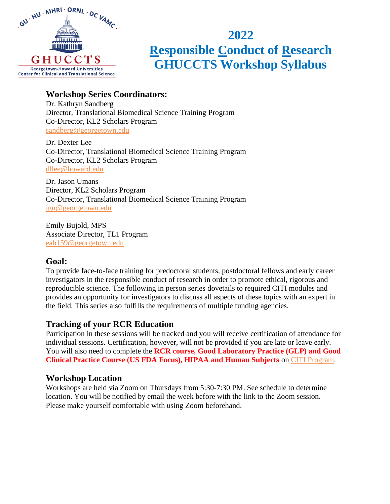

# **2022 Responsible Conduct of Research GHUCCTS Workshop Syllabus**

### **Workshop Series Coordinators:**

Dr. Kathryn Sandberg Director, Translational Biomedical Science Training Program Co-Director, KL2 Scholars Program [sandberg@georgetown.edu](mailto:sandberg@georgetown.edu)

Dr. Dexter Lee Co-Director, Translational Biomedical Science Training Program Co-Director, KL2 Scholars Program [dllee@howard.edu](mailto:dllee@howard.edu)

Dr. Jason Umans Director, KL2 Scholars Program Co-Director, Translational Biomedical Science Training Program [jgu@georgetown.edu](mailto:jgu@georgetown.edu)

Emily Bujold, MPS Associate Director, TL1 Program [eab159@georgetown.edu](mailto:eab159@georgetown.edu)

## **Goal:**

To provide face-to-face training for predoctoral students, postdoctoral fellows and early career investigators in the responsible conduct of research in order to promote ethical, rigorous and reproducible science. The following in person series dovetails to required CITI modules and provides an opportunity for investigators to discuss all aspects of these topics with an expert in the field. This series also fulfills the requirements of multiple funding agencies.

## **Tracking of your RCR Education**

Participation in these sessions will be tracked and you will receive certification of attendance for individual sessions. Certification, however, will not be provided if you are late or leave early. You will also need to complete the **RCR course, Good Laboratory Practice (GLP) and Good Clinical Practice Course (US FDA Focus), HIPAA and Human Subjects** on [CITI Program.](https://about.citiprogram.org/)

## **Workshop Location**

Workshops are held via Zoom on Thursdays from 5:30-7:30 PM. See schedule to determine location. You will be notified by email the week before with the link to the Zoom session. Please make yourself comfortable with using Zoom beforehand.